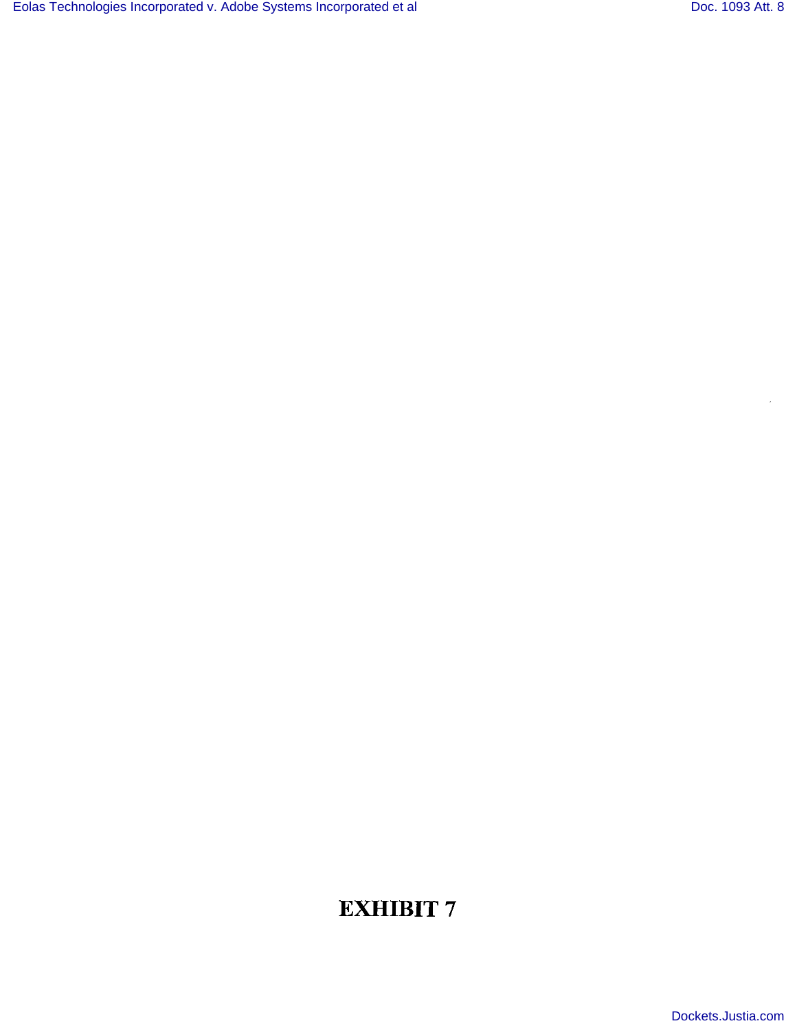$\bar{z}$ 

# EXHIBIT 7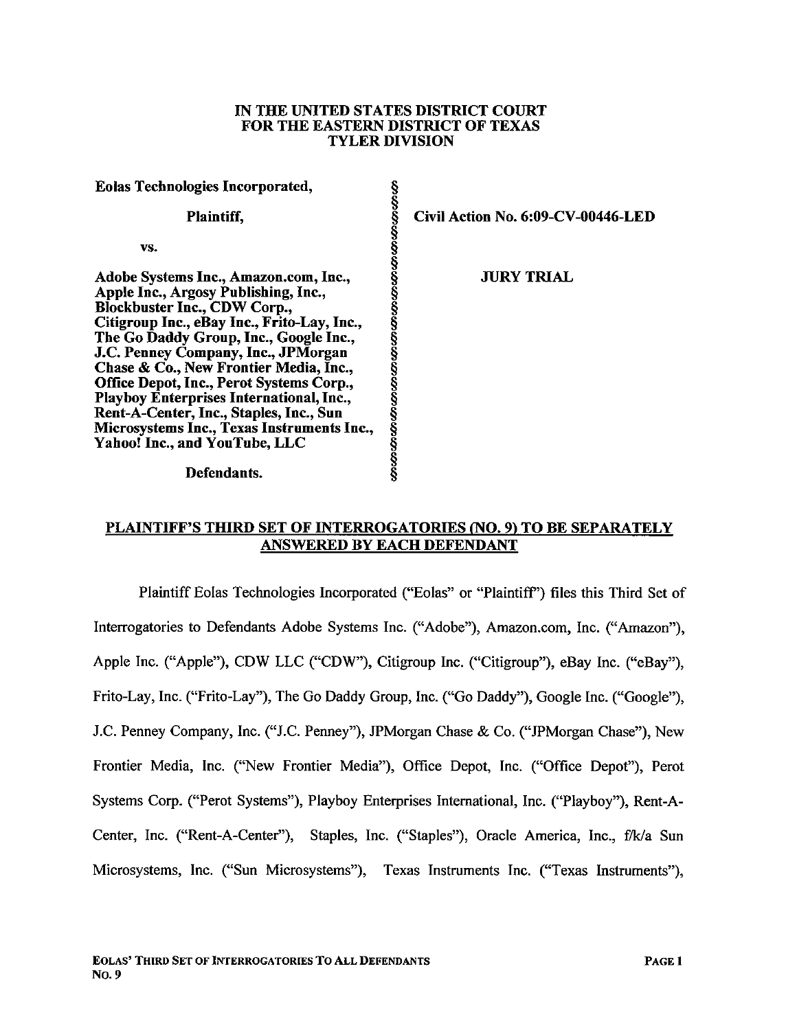#### IN THE UNTED STATES DISTRICT COURT FOR THE EASTERN DISTRICT OF TEXAS TYLER DIVISION

| <b>Eolas Technologies Incorporated,</b>     |                                                                |
|---------------------------------------------|----------------------------------------------------------------|
| Plaintiff,                                  | က္မွားတိုးတိုးထားတယ္မွာတက္မွာတက္မွာတက္မွာတက္မွာတက္မွာတက္မွာတက္ |
| VS.                                         |                                                                |
| Adobe Systems Inc., Amazon.com, Inc.,       |                                                                |
| Apple Inc., Argosy Publishing, Inc.,        |                                                                |
| <b>Blockbuster Inc., CDW Corp.,</b>         |                                                                |
| Citigroup Inc., eBay Inc., Frito-Lay, Inc., |                                                                |
| The Go Daddy Group, Inc., Google Inc.,      |                                                                |
| J.C. Penney Company, Inc., JPMorgan         |                                                                |
| Chase & Co., New Frontier Media, Inc.,      |                                                                |
| Office Depot, Inc., Perot Systems Corp.,    |                                                                |
| Playboy Enterprises International, Inc.,    |                                                                |
| Rent-A-Center, Inc., Staples, Inc., Sun     |                                                                |
| Microsystems Inc., Texas Instruments Inc.,  |                                                                |
| <b>Yahoo! Inc., and YouTube, LLC</b>        |                                                                |
|                                             |                                                                |
|                                             |                                                                |

Defendants.

§ Civil Action No. 6:09-CV-00446-LED

**JURY TRIAL** 

### PLAINTIFF'S THIRD SET OF INTERROGATORIES (NO. 9) TO BE SEPARATELY ANSWERED BY EACH DEFENDANT

§

Plaintiff Eolas Technologies Incorporated ("Eolas" or "Plaintiff') files this Third Set of Interrogatories to Defendants Adobe Systems Inc. ("Adobe"), Amazon.com, Inc. ("Amazon"), Apple Inc. ("Apple"), CDW LLC ("CDW"), Citigroup Inc. ("Citigroup"), eBay Inc. ("eBay"), Frito-Lay, Inc. ("Frito-Lay"), The Go Daddy Group, Inc. ("Go Daddy"), Google Inc. ("Google"), J.C. Penney Company, Inc. ("J.C. Penney"), JPMorgan Chase & Co. ("JPMorgan Chase"), New Frontier Media, Inc. ("New Frontier Media"), Office Depot, Inc. ("Office Depot"), Perot Systems Corp. ("Perot Systems"), Playboy Enterprises International, Inc. ("Playboy"), Rent-A-Center, Inc. ("Rent-A-Center"), Staples, Inc. ("Staples"), Oracle America, Inc., f/k/a Sun Microsystems, Inc. ("Sun Microsystems"), Texas Instruments Inc. ("Texas Instruments"),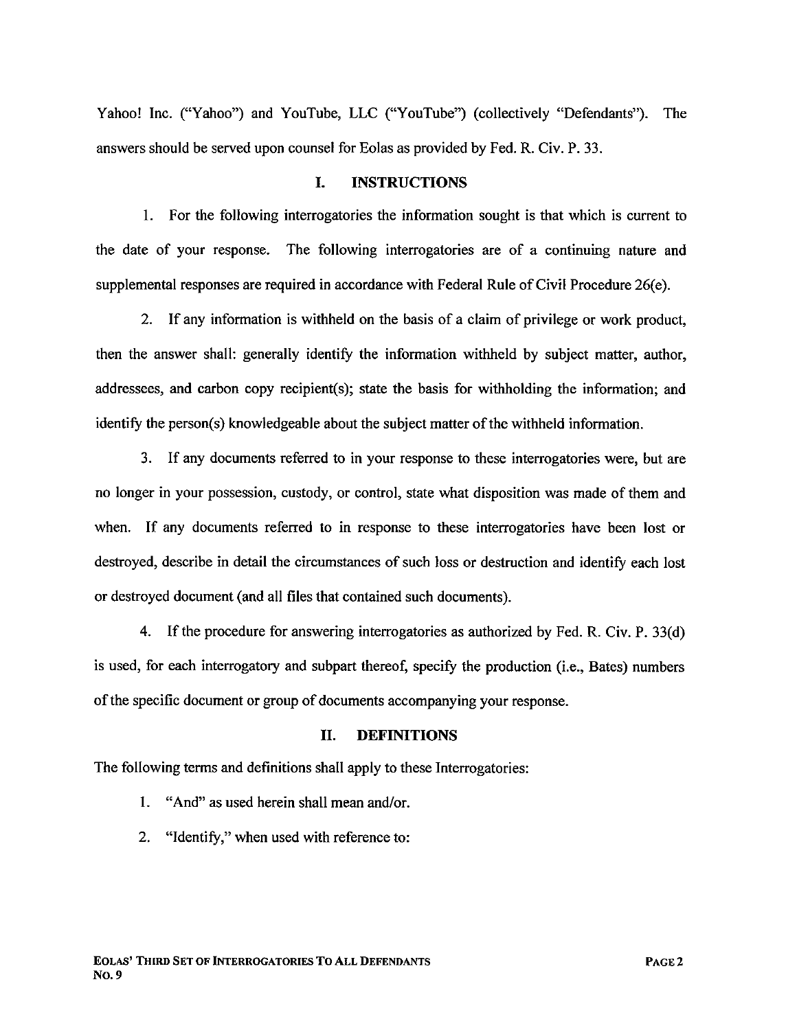Yahoo! Inc. ("Yahoo") and YouTube, LLC ("YouTube") (collectively "Defendants"). The answers should be served upon counsel for Eolas as provided by Fed. R. Civ. P. 33.

#### I. INSTRUCTIONS

1. For the following interrogatories the information sought is that which is current to the date of your response. The following interrogatories are of a continuing nature and supplemental responses are required in accordance with Federal Rule of Civil Procedure 26(e).

2. If any information is withheld on the basis of a claim of privilege or work product, then the answer shall: generally identify the information withheld by subject matter, author, addressees, and carbon copy recipient(s); state the basis for witholding the information; and identify the person(s) knowledgeable about the subject matter of the withheld information.

3. If any documents referred to in your response to these interrogatories were, but are no longer in your possession, custody, or control, state what disposition was made of them and when. If any documents referred to in response to these interrogatories have been lost or destroyed, describe in detail the circumstances of such loss or destruction and identify each lost or destroyed document (and all fies that contained such documents).

4. If the procedure for answering interrogatories as authorized by Fed. R. Civ. P. 33(d) is used, for each interrogatory and subpart thereof, specify the production (i.e., Bates) numbers of the specific document or group of documents accompanying your response.

#### II. DEFINTIONS

The following terms and definitions shall apply to these Interrogatories:

- 1. "And" as used herein shall mean and/or.
- 2. "Identify," when used with reference to: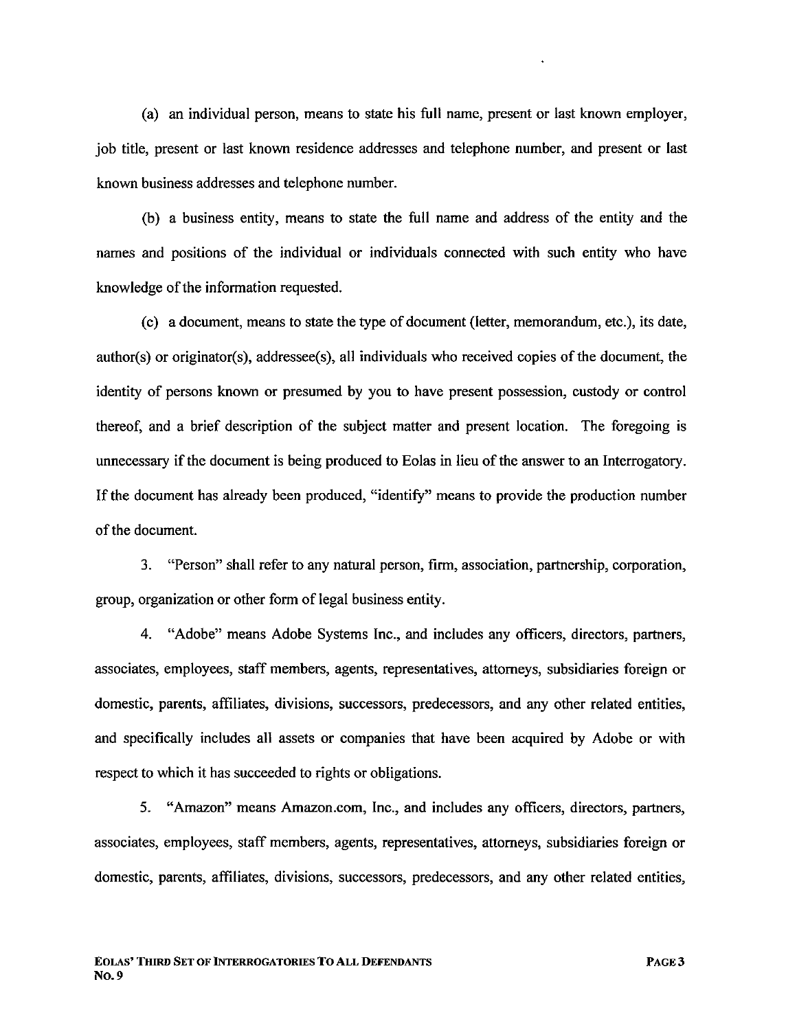(a) an individual person, means to state his full name, present or last known employer, job title, present or last known residence addresses and telephone number, and present or last known business addresses and telephone number.

(b) a business entity, means to state the full name and address of the entity and the names and positions of the individual or individuals connected with such entity who have knowledge of the information requested.

(c) a document, means to state the type of document (letter, memorandum, etc.), its date, author(s) or originator(s), addressee(s), all individuals who received copies of the document, the identity of persons known or presumed by you to have present possession, custody or control thereof, and a brief description of the subject matter and present location. The foregoing is unnecessary if the document is being produced to Eolas in lieu of the answer to an Interrogatory. If the document has already been produced, "identifY" means to provide the production number of the document.

3. "Person" shall refer to any natural person, firm, association, partership, corporation, group, organization or other form of legal business entity.

4. "Adobe" means Adobe Systems Inc., and includes any officers, directors, partners, associates, employees, staff members, agents, representatives, attorneys, subsidiaries foreign or domestic, parents, affliates, divisions, successors, predecessors, and any other related entities, and specifically includes all assets or companies that have been acquired by Adobe or with respect to which it has succeeded to rights or obligations.

5. "Amazon" means Amazon.com, Inc., and includes any officers, directors, partners, associates, employees, staff members, agents, representatives, attorneys, subsidiaries foreign or domestic, parents, affiiates, divisions, successors, predecessors, and any other related entities,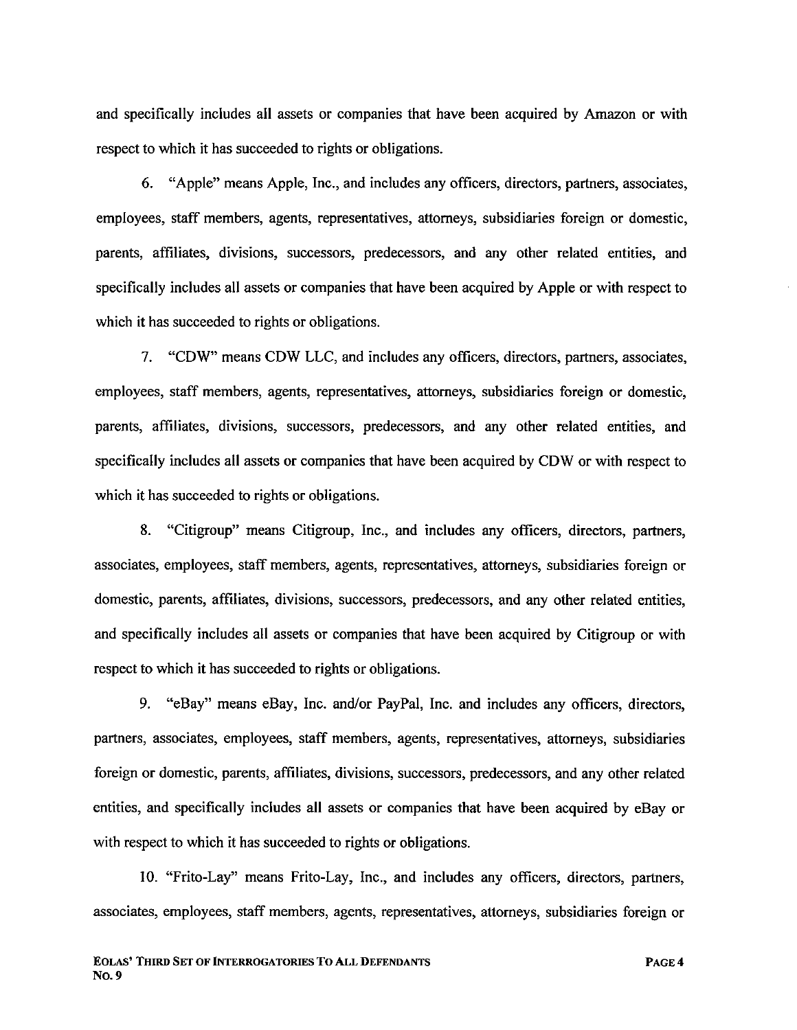and specifically includes all assets or companies that have been acquired by Amazon or with respect to which it has succeeded to rights or obligations.

6. "Apple" means Apple, Inc., and includes any offcers, directors, partners, associates, employees, staff members, agents, representatives, attorneys, subsidiaries foreign or domestic, parents, affliates, divisions, successors, predecessors, and any other related entities, and specifically includes all assets or companies that have been acquired by Apple or with respect to which it has succeeded to rights or obligations.

7. "CDW" means CDW LLC, and includes any officers, directors, partners, associates, employees, staff members, agents, representatives, attorneys, subsidiaries foreign or domestic, parents, affliates, divisions, successors, predecessors, and any other related entities, and specifically includes all assets or companies that have been acquired by CDW or with respect to which it has succeeded to rights or obligations.

8. "Citigroup" means Citigroup, Inc., and includes any officers, directors, partners, associates, employees, staff members, agents, representatives, attorneys, subsidiaries foreign or domestic, parents, affiiates, divisions, successors, predecessors, and any other related entities, and specifically includes all assets or companies that have been acquired by Citigroup or with respect to which it has succeeded to rights or obligations.

9. "eBay" means eBay, Inc. and/or PayPal, Inc. and includes any officers, directors, partners, associates, employees, staff members, agents, representatives, attorneys, subsidiaries foreign or domestic, parents, affiiates, divisions, successors, predecessors, and any other related entities, and specifically includes all assets or companies that have been acquired by eBay or with respect to which it has succeeded to rights or obligations.

10. "Frito-Lay" means Frito-Lay, Inc., and includes any officers, directors, partners, associates, employees, staff members, agents, representatives, attorneys, subsidiaries foreign or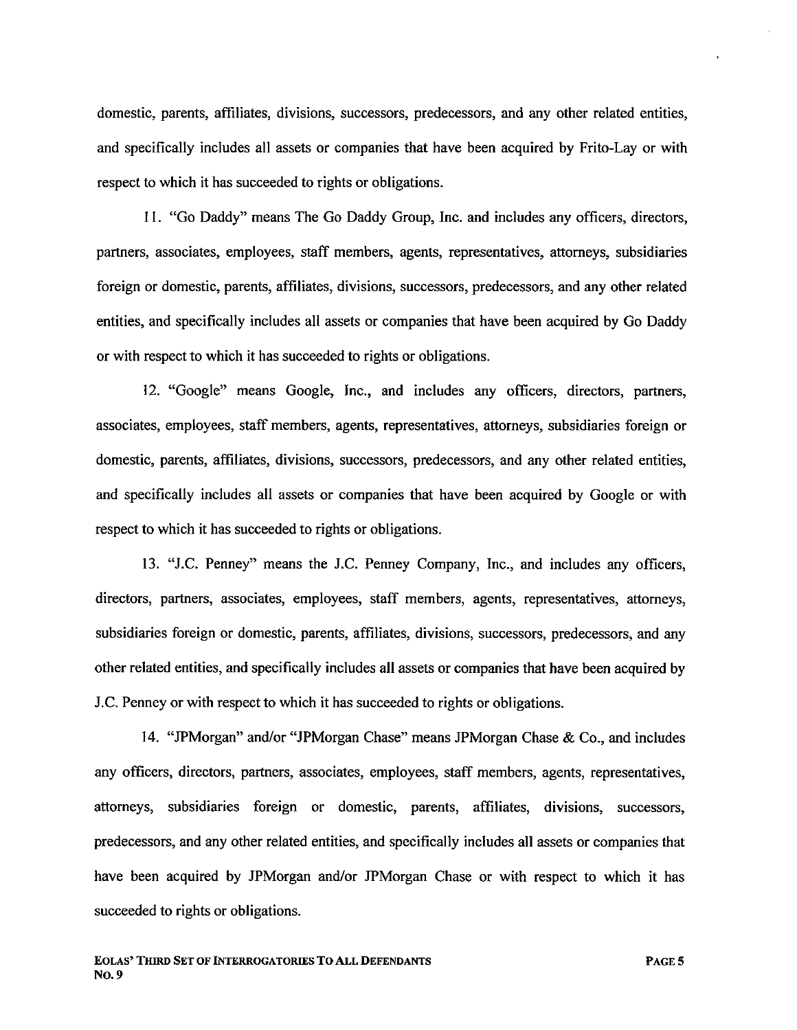domestic, parents, affliates, divisions, successors, predecessors, and any other related entities, and specifically includes all assets or companies that have been acquired by Frito-Lay or with respect to which it has succeeded to rights or obligations.

i I. "Go Daddy" means The Go Daddy Group, Inc. and includes any officers, directors, partners, associates, employees, staff members, agents, representatives, attorneys, subsidiaries foreign or domestic, parents, affliates, divisions, successors, predecessors, and any other related entities, and specifically includes all assets or companies that have been acquired by Go Daddy or with respect to which it has succeeded to rights or obligations.

12. "Google" means Google, Inc., and includes any officers, directors, partners, associates, employees, staff members, agents, representatives, attorneys, subsidiaries foreign or domestic, parents, affliates, divisions, successors, predecessors, and any other related entities, and specifically includes all assets or companies that have been acquired by Google or with respect to which it has succeeded to rights or obligations.

13. "J.C. Penney" means the J.C. Penney Company, Inc., and includes any officers, directors, partners, associates, employees, staff members, agents, representatives, attorneys, subsidiaries foreign or domestic, parents, affliates, divisions, successors, predecessors, and any other related entities, and specifically includes all assets or companies that have been acquired by J.C. Penney or with respect to which it has succeeded to rights or obligations.

14. "JPMorgan" and/or "JPMorgan Chase" means JPMorgan Chase & Co., and includes any officers, directors, partners, associates, employees, staff members, agents, representatives, attorneys, subsidiaries foreign or domestic, parents, affliates, divisions, successors, predecessors, and any other related entities, and specifically includes all assets or companies that have been acquired by JPMorgan and/or JPMorgan Chase or with respect to which it has succeeded to rights or obligations.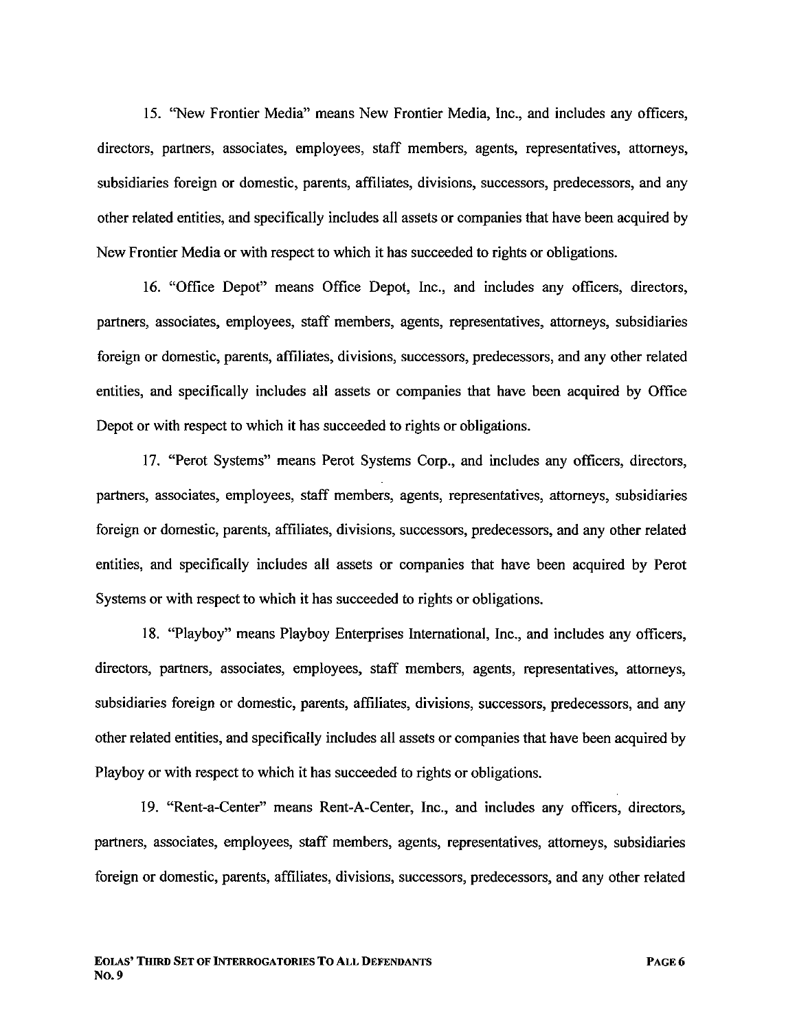15. "New Frontier Media" means New Frontier Media, Inc., and includes any offcers, directors, partners, associates, employees, staff members, agents, representatives, attorneys, subsidiaries foreign or domestic, parents, affliates, divisions, successors, predecessors, and any other related entities, and specifically includes all assets or companies that have been acquired by New Frontier Media or with respect to which it has succeeded to rights or obligations.

16. "Office Depot" means Office Depot, Inc., and includes any officers, directors, partners, associates, employees, staff members, agents, representatives, attorneys, subsidiaries foreign or domestic, parents, affliates, divisions, successors, predecessors, and any other related entities, and specifically includes all assets or companies that have been acquired by Office Depot or with respect to which it has succeeded to rights or obligations.

17. "Perot Systems" means Perot Systems Corp., and includes any offcers, directors, partners, associates, employees, staff members, agents, representatives, attorneys, subsidiaries foreign or domestic, parents, affiiates, divisions, successors, predecessors, and any other related entities, and specifically includes all assets or companies that have been acquired by Perot Systems or with respect to which it has succeeded to rights or obligations.

18. "Playboy" means Playboy Enterprises International, Inc., and includes any officers, directors, partners, associates, employees, staff members, agents, representatives, attorneys, subsidiaries foreign or domestic, parents, affliates, divisions, successors, predecessors, and any other related entities, and specifically includes all assets or companies that have been acquired by Playboy or with respect to which it has succeeded to rights or obligations.

19. "Rent-a-Center" means Rent-A-Center, Inc., and includes any offcers, directors, partners, associates, employees, staff members, agents, representatives, attorneys, subsidiaries foreign or domestic, parents, affliates, divisions, successors, predecessors, and any other related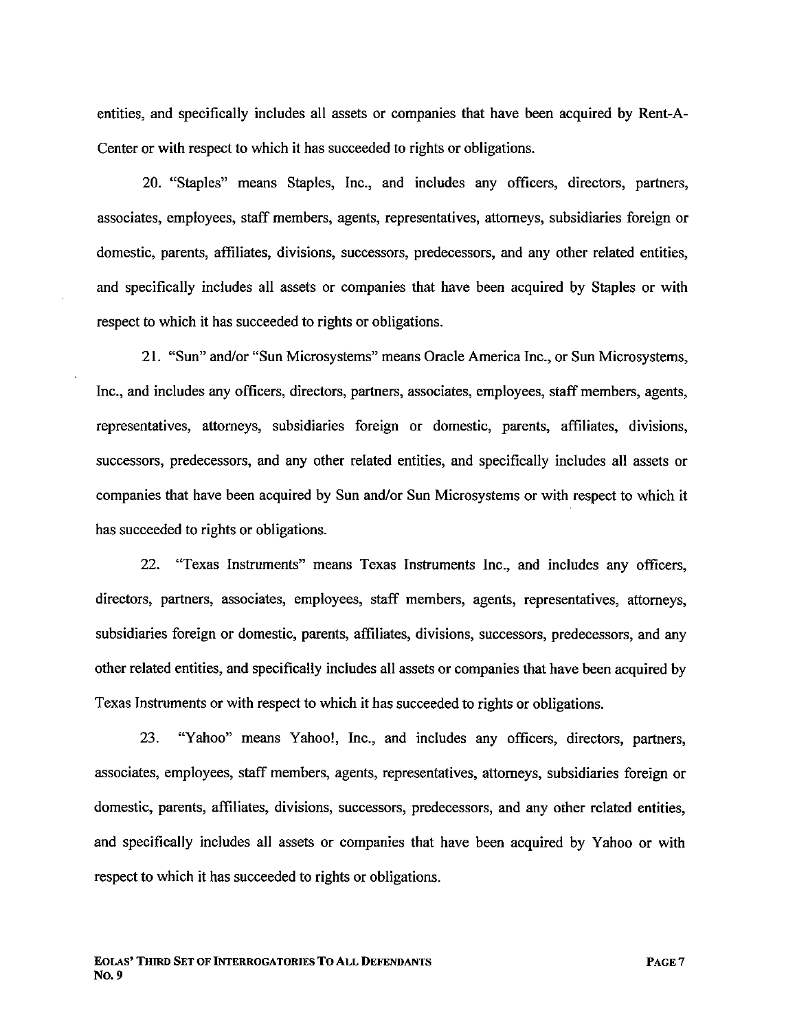entities, and specifically includes all assets or companies that have been acquired by Rent-A-Center or with respect to which it has succeeded to rights or obligations.

20. "Staples" means Staples, Inc., and includes any officers, directors, partners, associates, employees, staff members, agents, representatives, attorneys, subsidiaries foreign or domestic, parents, affliates, divisions, successors, predecessors, and any other related entities, and specifically includes all assets or companies that have been acquired by Staples or with respect to which it has succeeded to rights or obligations.

21. "Sun" and/or "Sun Microsystems" means Oracle America Inc., or Sun Microsystems, Inc., and includes any officers, directors, partners, associates, employees, staff members, agents, representatives, attorneys, subsidiaries foreign or domestic, parents, affliates, divisions, successors, predecessors, and any other related entities, and specifically includes all assets or companies that have been acquired by Sun and/or Sun Microsystems or with respect to which it has succeeded to rights or obligations.

22. "Texas Instruments" means Texas Instruments Inc., and includes any officers, directors, partners, associates, employees, staff members, agents, representatives, attorneys, subsidiaries foreign or domestic, parents, affliates, divisions, successors, predecessors, and any other related entities, and specifically includes all assets or companies that have been acquired by Texas Instruments or with respect to which it has succeeded to rights or obligations.

23. "Yahoo" means Yahoo!, Inc., and includes any officers, directors, partners, associates, employees, staff members, agents, representatives, attorneys, subsidiaries foreign or domestic, parents, affiiates, divisions, successors, predecessors, and any other related entities, and specifically includes all assets or companies that have been acquired by Yahoo or with respect to which it has succeeded to rights or obligations.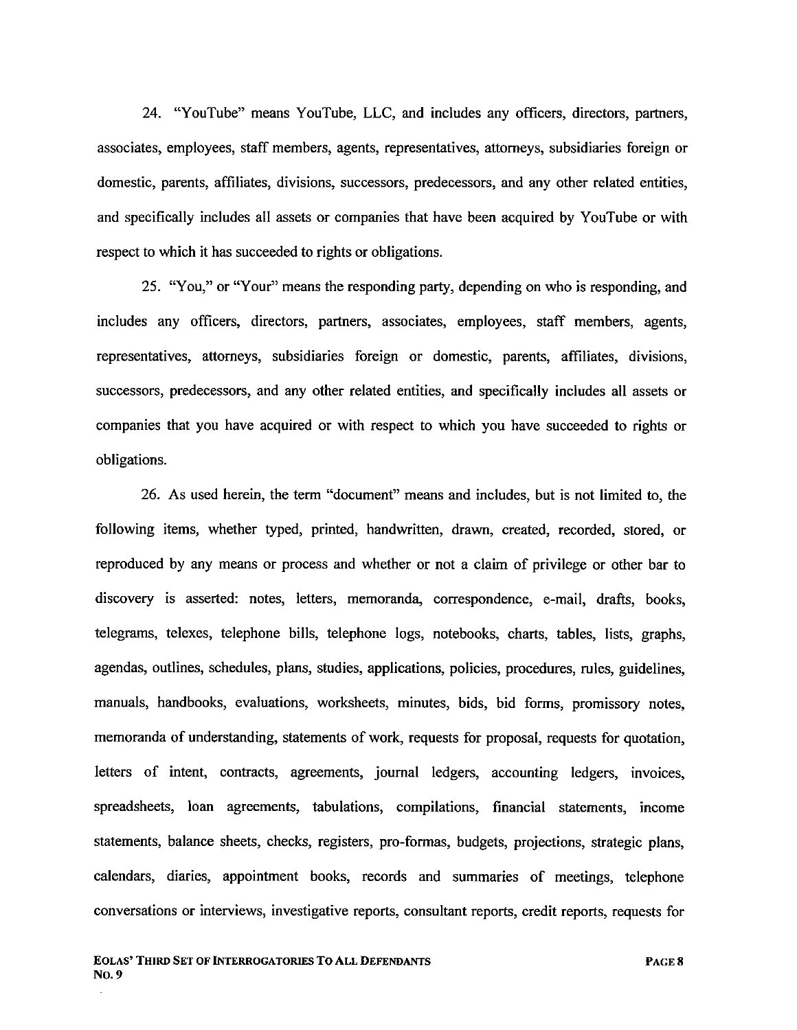24. "YouTube" means YouTube, LLC, and includes any officers, directors, partners, associates, employees, staff members, agents, representatives, attorneys, subsidiaries foreign or domestic, parents, affliates, divisions, successors, predecessors, and any other related entities, and specifically includes all assets or companies that have been acquired by YouTube or with respect to which it has succeeded to rights or obligations.

25. "You," or "Your" means the responding party, depending on who is responding, and includes any officers, directors, partners, associates, employees, staff members, agents, representatives, attorneys, subsidiaries foreign or domestic, parents, affliates, divisions, successors, predecessors, and any other related entities, and specifically includes all assets or companies that you have acquired or with respect to which you have succeeded to rights or obligations.

26. As used herein, the term "document" means and includes, but is not limited to, the following items, whether typed, printed, handwritten, drawn, created, recorded, stored, or reproduced by any means or process and whether or not a claim of privilege or other bar to discovery is asserted: notes, letters, memoranda, correspondence, e-mail, drafts, books, telegrams, telexes, telephone bils, telephone logs, notebooks, charts, tables, lists, graphs, agendas, outlines, schedules, plans, studies, applications, policies, procedures, rules, guidelines, manuals, handbooks, evaluations, worksheets, minutes, bids, bid forms, promissory notes, memoranda of understanding, statements of work, requests for proposal, requests for quotation, letters of intent, contracts, agreements, journal ledgers, accounting ledgers, invoices, spreadsheets, loan agreements, tabulations, compilations, financial statements, income statements, balance sheets, checks, registers, pro-formas, budgets, projections, strategic plans, calendars, diaries, appointment books, records and summaries of meetings, telephone conversations or interviews, investigative reports, consultant reports, credit reports, requests for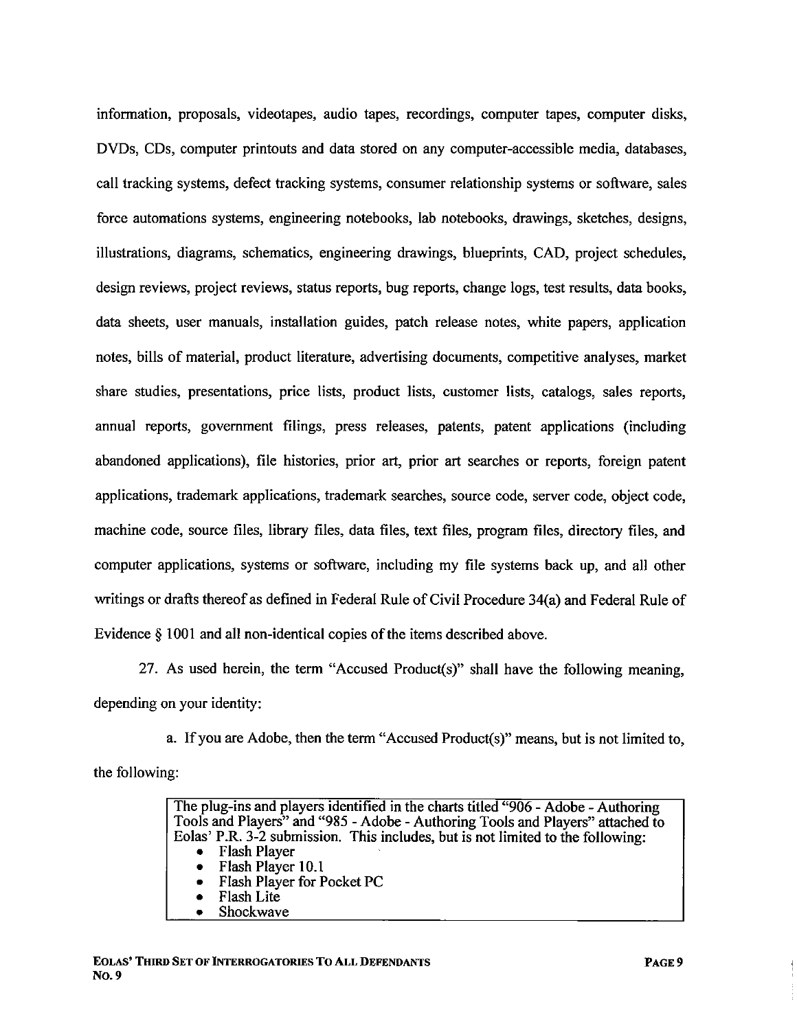information, proposals, videotapes, audio tapes, recordings, computer tapes, computer disks, DVDs, CDs, computer printouts and data stored on any computer-accessible media, databases, call tracking systems, defect tracking systems, consumer relationship systems or software, sales force automations systems, engineering notebooks, lab notebooks, drawings, sketches, designs, ilustrations, diagrams, schematics, engineering drawings, blueprints, CAD, project schedules, design reviews, project reviews, status reports, bug reports, change logs, test results, data books, data sheets, user manuals, installation guides, patch release notes, white papers, application notes, bils of material, product literature, advertising documents, competitive analyses, market share studies, presentations, price lists, product lists, customer lists, catalogs, sales reports, annual reports, government filings, press releases, patents, patent applications (including abandoned applications), fie histories, prior art, prior art searches or reports, foreign patent applications, trademark applications, trademark searches, source code, server code, object code, machine code, source fies, library fies, data fies, text files, program fies, directory fies, and computer applications, systems or software, including my file systems back up, and all other writings or drafts thereof as defined in Federal Rule of Civil Procedure 34(a) and Federal Rule of Evidence  $\S$  1001 and all non-identical copies of the items described above.

27. As used herein, the term "Accused Product(s)" shall have the following meaning, depending on your identity:

a. If you are Adobe, then the term "Accused Product(s)" means, but is not limited to, the following:

> The plug-ins and players identified in the chars titled "906 - Adobe - Authoring Tools and Players" and "985 - Adobe - Authoring Tools and Players" attached to Eolas' P.R. 3-2 submission. This includes, but is not limited to the following: . Flash Player . Flash Player 10.1 . Flash Player for Pocket PC . Flash Lite . Shockwave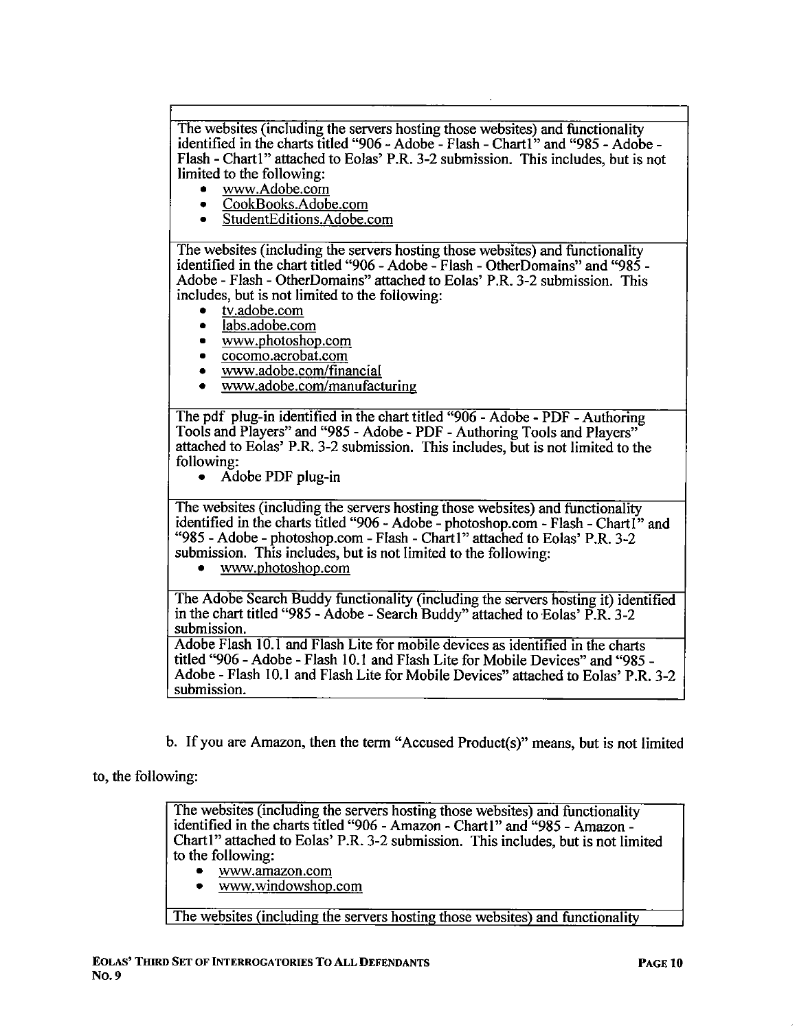The websites (including the servers hosting those websites) and functionality identified in the charts titled "906 - Adobe - Flash - Chart1" and "985 - Adobe -Flash - Chart1" attached to Eolas' P.R. 3-2 submission. This includes, but is not limited to the following:

- . ww.Adobe.com
- . CookBooks.Adobe.com
- . StudentEditions.Adobe.com

The websites (including the servers hosting those websites) and functionality identified in the chart titled "906 - Adobe - Flash - OtherDomains" and "985 -Adobe - Flash - OtherDomains" attached to Eolas' P.R. 3-2 submission. This includes, but is not limited to the following:

- . tv.adobe.com
- labs.adobe.com
- . ww.photoshop.com
- . cocomo.acrobat.com
- . ww.adobe.com/financial
- . ww.adobe.com/manufacturing

The pdf plug-in identified in the chart titled "906 - Adobe - PDF - Authoring Tools and Players" and "985 - Adobe - PDF - Authoring Tools and Players" attached to Eolas' P.R. 3-2 submission. This includes, but is not limited to the following:

. Adobe PDF plug-in

The websites (including the servers hosting those websites) and functionality identified in the charts titled "906 - Adobe - photoshop.com - Flash - Chartl" and "985 - Adobe - photoshop.com - Flash - Chartl" attached to Eolas' P.R. 3-2 submission. This includes, but is not limited to the following:

. ww.photoshop.com

The Adobe Search Buddy functionality (including the servers hosting it) identified in the chart titled "985 - Adobe - Search Buddy" attached to Eolas'  $\overline{P}$ . R. 3-2 submission.

Adobe Flash 10.1 and Flash Lite for mobile devices as identified in the charts titled "906 - Adobe - Flash 10.1 and Flash Lite for Mobile Devices" and "985 - Adobe - Flash 10.1 and Flash Lite for Mobile Devices" attached to Eolas' P.R. 3-2 submission.

b. If you are Amazon, then the term "Accused Product(s)" means, but is not limited

#### to, the following:

The websites (including the servers hosting those websites) and functionality identified in the charts titled "906 - Amazon - Chart I" and "985 - Amazon -Chart I" attached to Eolas' P.R. 3-2 submission. This includes, but is not limited to the following:

- . ww.amazon.com
- . ww.windowshop.com

The websites (including the servers hosting those websites) and functionalitv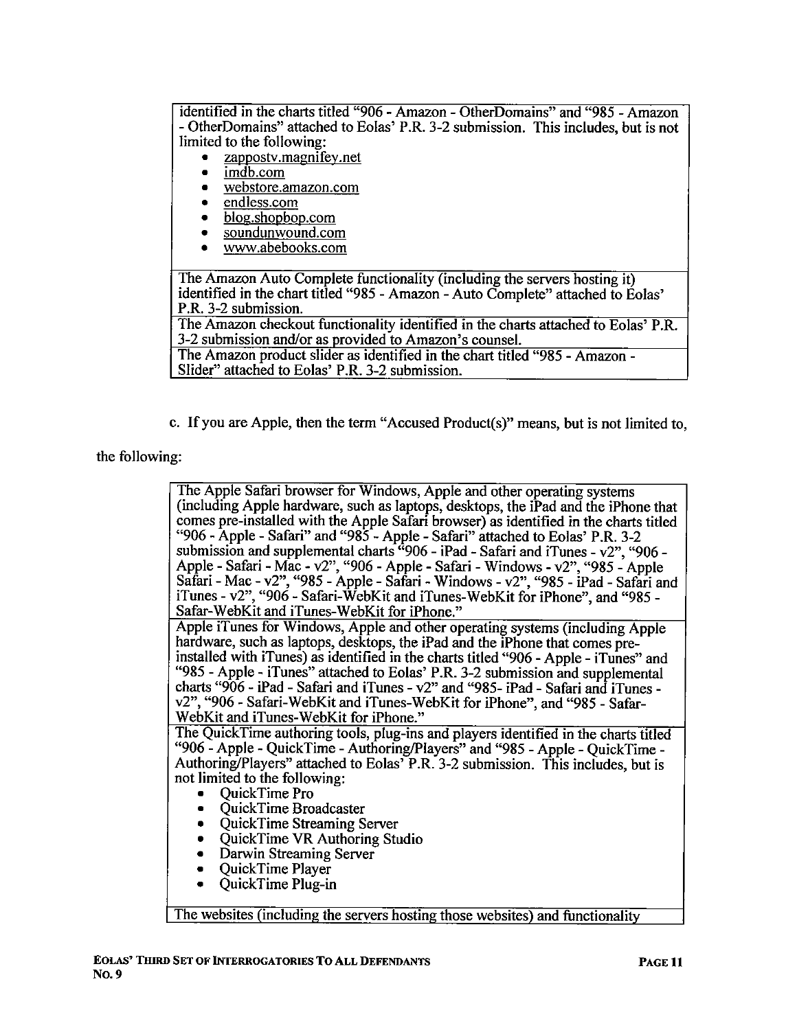identified in the charts titled "906 - Amazon - OtherDomains" and "985 - Amazon - OtherDomains" attached to Eolas' P.R. 3-2 submission. This includes, but is not limited to the following:

- zappostv.magnifey.net<br>• imdb.com
- $\cdot$   $\frac{\text{imdb.com}}{\text{webstore}}$
- . webstore.amazon.com
- endless.com
- blog.shopbop.com<br>• soundunwound.com
- soundunwound.com<br>• www.abebooks.com
- . ww.abebooks.com

The Amazon Auto Complete functionality (including the servers hosting it) identified in the chart titled "985 - Amazon - Auto Complete" attached to Eolas' P.R. 3-2 submission.

The Amazon checkout functionality identified in the charts attached to Eolas' P.R. 3-2 submission and/or as provided to Amazon's counsel.

The Amazon product slider as identified in the chart titled "985 - Amazon - Slider" attached to Eolas' P.R. 3-2 submission.

c. If you are Apple, then the term "Accused Product(s)" means, but is not limited to,

the following:

| The Apple Safari browser for Windows, Apple and other operating systems               |
|---------------------------------------------------------------------------------------|
| (including Apple hardware, such as laptops, desktops, the iPad and the iPhone that    |
| comes pre-installed with the Apple Safari browser) as identified in the charts titled |
| "906 - Apple - Safari" and "985 - Apple - Safari" attached to Eolas' P.R. 3-2         |
| submission and supplemental charts $606 - i$ Pad - Safari and iTunes - v2", "906 -    |
| Apple - Safari - Mac - v2", "906 - Apple - Safari - Windows - v2", "985 - Apple       |
| Safari - Mac - v2", "985 - Apple - Safari - Windows - v2", "985 - iPad - Safari and   |
| iTunes - v2", "906 - Safari-WebKit and iTunes-WebKit for iPhone", and "985 -          |
| Safar-WebKit and iTunes-WebKit for iPhone."                                           |
| Apple iTunes for Windows, Apple and other operating systems (including Apple          |
| hardware, such as laptops, desktops, the iPad and the iPhone that comes pre-          |
| installed with iTunes) as identified in the charts titled "906 - Apple - iTunes" and  |
| "985 - Apple - iTunes" attached to Eolas' P.R. 3-2 submission and supplemental        |
| charts "906 - iPad - Safari and iTunes - v2" and "985- iPad - Safari and iTunes -     |
| v2", "906 - Safari-WebKit and iTunes-WebKit for iPhone", and "985 - Safar-            |
| WebKit and iTunes-WebKit for iPhone."                                                 |
| The QuickTime authoring tools, plug-ins and players identified in the charts titled   |
| "906 - Apple - QuickTime - Authoring/Players" and "985 - Apple - QuickTime -          |
| Authoring/Players" attached to Eolas' P.R. 3-2 submission. This includes, but is      |
| not limited to the following:                                                         |
| QuickTime Pro                                                                         |
| QuickTime Broadcaster                                                                 |
| QuickTime Streaming Server                                                            |
| QuickTime VR Authoring Studio<br>٠                                                    |
| Darwin Streaming Server                                                               |
| QuickTime Player                                                                      |
| QuickTime Plug-in                                                                     |
|                                                                                       |
|                                                                                       |

The websites (including the servers hosting those websites) and functionality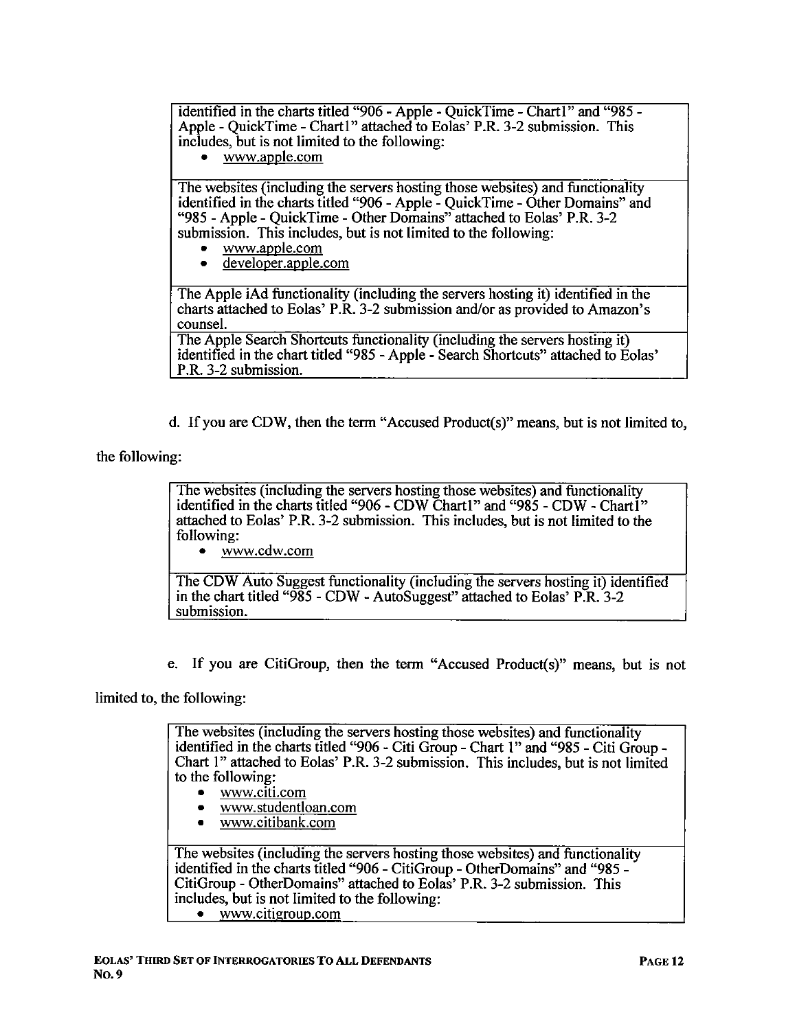identified in the charts titled "906 - Apple - QuickTime - Chart1" and "985 -Apple - QuickTime - Chart1" attached to Eolas' P.R. 3-2 submission. This includes, but is not limited to the following:

. ww.apple.com

The websites (including the servers hosting those websites) and functionality identified in the charts titled "906 - Apple - OuickTime - Other Domains" and "985 - Apple - QuickTime - Other Domains" attached to Eolas' P.R. 3-2 submission. This includes, but is not limited to the following:

- $\bullet$  www.apple.com
- . developer.apple.com

The Apple iAd functionality (including the servers hosting it) identified in the charts attached to Eolas' P.R. 3-2 submission and/or as provided to Amazon's counseL.

The Apple Search Shortcuts functionality (including the servers hosting it) identified in the chart titled "985 - Apple - Search Shortcuts" attached to Eolas' P.R. 3-2 submission.

d. If you are CDW, then the term "Accused Product(s)" means, but is not limited to,

the following:

The websites (including the servers hosting those websites) and functionality identified in the chars titled "906 - CDW Charl" and "985 - CDW - Chartl" attached to Eolas' P.R. 3-2 submission. This includes, but is not limited to the following:

. ww.cdw.com

The CDW Auto Suggest functionality (including the servers hosting it) identified in the chart titled " $985$  - CDW - AutoSuggest" attached to Eolas' P.R. 3-2 submission.

e. If you are CitiGroup, then the term "Accused Product(s)" means, but is not

limited to, the following:

The websites (including the servers hosting those websites) and functionality identified in the charts titled "906 - Citi Group - Chart 1" and "985 - Citi Group -Chart 1" attached to Eolas' P.R. 3-2 submission. This includes, but is not limited to the following:

- . ww.citi.com
- . ww.studentloan.com
- . ww.citibank.com

The websites (including the servers hosting those websites) and functionality identified in the charts titled "906 - CitiGroup - OtherDomains" and "985 -CitiGroup - OtherDomains" attached to Eolas' P.R. 3-2 submission. This includes, but is not limited to the following: • www.citigroup.com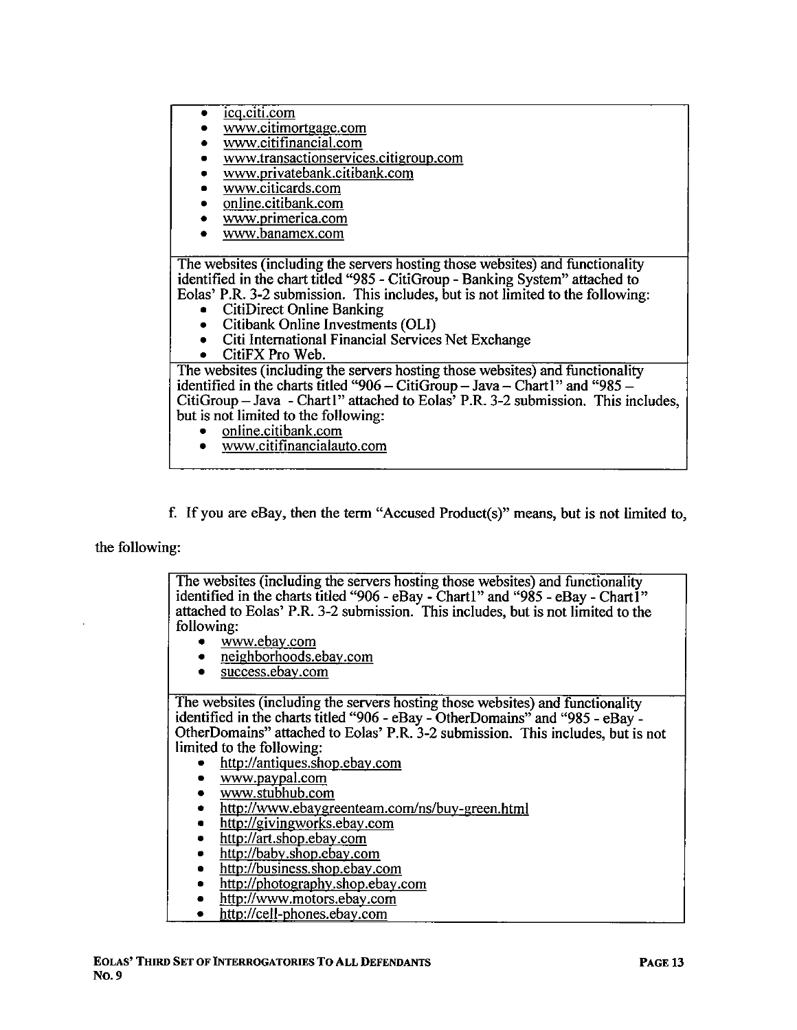- . icq.citi.com
- . ww.citimortgage.com
- . ww.citifinancial.com
- www.transactionservices.citigroup.com
- . ww.Drivatebank.citibank.com
- . ww.citicards.com
- . online.citibank.com
- . ww.Drimerica.com
- . ww.banamex.com

The websites (including the servers hosting those websites) and functionality identified in the chart titled "985 - CitiGroup - Banking System" attached to Eolas' P.R. 3-2 submission. This includes, but is not limited to the following:

- . CitiDirect Online Banking
- Citibank Online Investments (OLI)
- Citi International Financial Services Net Exchange<br>• CitiEX Pro Web
- . CitiFX Pro Web.

The websites (including the servers hosting those websites) and functionality identified in the charts titled "906 - CitiGroup - Java - Chart 1 " and "985 -  $CitiGroup-Java - Chart1" attached to Eolas' P.R. 3-2 submission. This includes,$ but is not limited to the following:

- online.citibank.com
- . ww.citifinancialauto.com
- f. If you are eBay, then the term "Accused Product(s)" means, but is not limited to,

the following:

The websites (including the servers hosting those websites) and functionality identified in the charts titled "906 - eBay - Charl" and "985 - eBay - Chartl" attached to Eolas' P.R. 3-2 submission. This includes, but is not limited to the following:

- . ww.ebav.com
- . neighborhoods.ebav.com
- . success.ebav.com

The websites (including the servers hosting those websites) and functionality identified in the charts titled "906 - eBay - OtherDomains" and "985 - eBay - OtherDomains" attached to Eolas' P.R. 3-2 submission. This includes, but is not limited to the following:

- . http://antiques.shoD.ebav .com
- www.paypal.com
- . ww.stubhub.com
- http://www.ebaygreenteam.com/ns/buy-green.html
- http://givingworks.ebay.com
- http://art.shop.ebay.com
- http://baby.shop.ebay.com
- http://business.shop.ebay.com
- $\bullet$  http://photography.shop.ebay.com
- . http://ww.motors.ebav.com
- http://cell-phones.ebay.com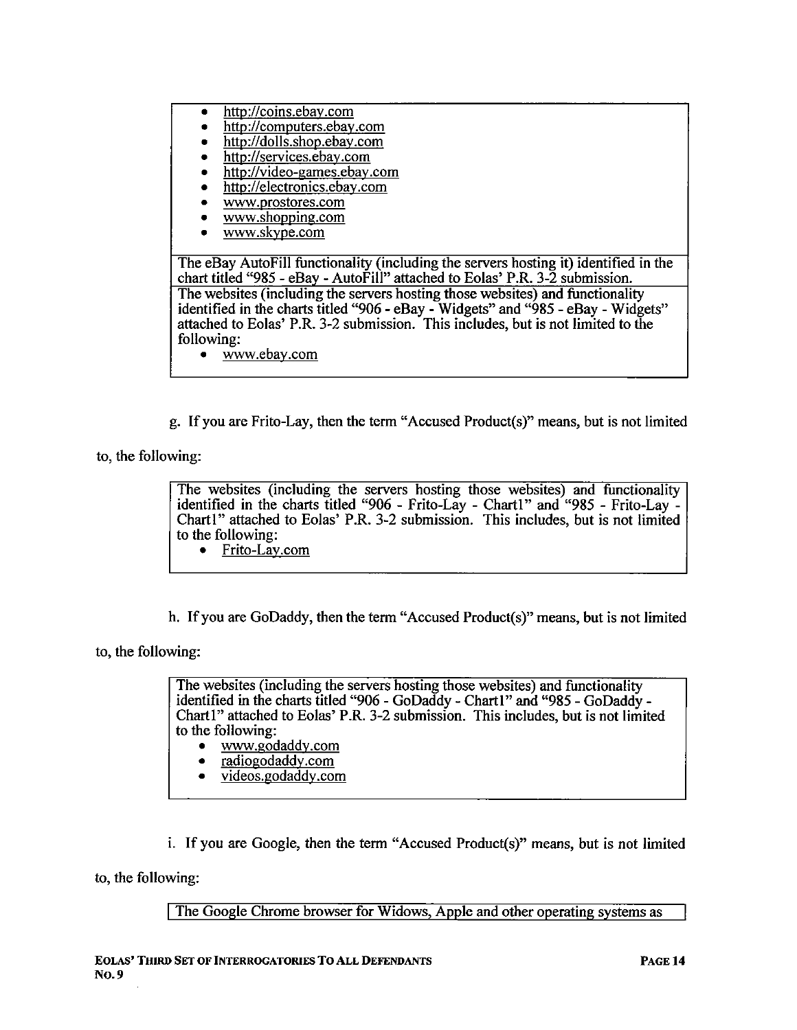- . http://coins.ebav.com
- . http://computers.ebav.com
- . http://dolls.shop.ebav.com
- http://services.ebay.com
- http://video-games.ebay.com
- http://electronics.ebay.com
- . WW.Drostores.com
- www.shopping.com
- www.skvpe.com

The eBay AutoFill functionality (including the servers hosting it) identified in the chart titled "985 - eBay - AutoFill" attached to Eolas' P.R. 3-2 submission. The websites (including the servers hosting those websites) and functionality identified in the charts titled "906 - eBay - Widgets" and "985 - eBay - Widgets" attached to Eolas' P.R. 3-2 submission. This includes, but is not limited to the following:

. ww.ebav.com

g. If you are Frito-Lay, then the term "Accused Product(s)" means, but is not limited

to, the following:

The websites (including the servers hosting those websites) and functionality identified in the charts titled "906 - Frito-Lay - Chart1" and "985 - Frito-Lay -Chart1" attached to Eolas' P.R. 3-2 submission. This includes, but is not limited to the following:

- . Frito-Lav.com
- h. If you are GoDaddy, then the term "Accused Product(s)" means, but is not limited

to, the following:

The websites (including the servers hosting those websites) and functionality identified in the charts titled "906 - GoDaddy - Chart I" and "985 - GoDaddy -Chart1" attached to Eolas' P.R. 3-2 submission. This includes, but is not limited to the following:

- . ww.godaddv.com
- . radiogodaddv.com
- . videos.godaddv.com

i. If you are Google, then the term "Accused Product(s)" means, but is not limited

to, the following:

The Google Chrome browser for Widows, Apple and other operating systems as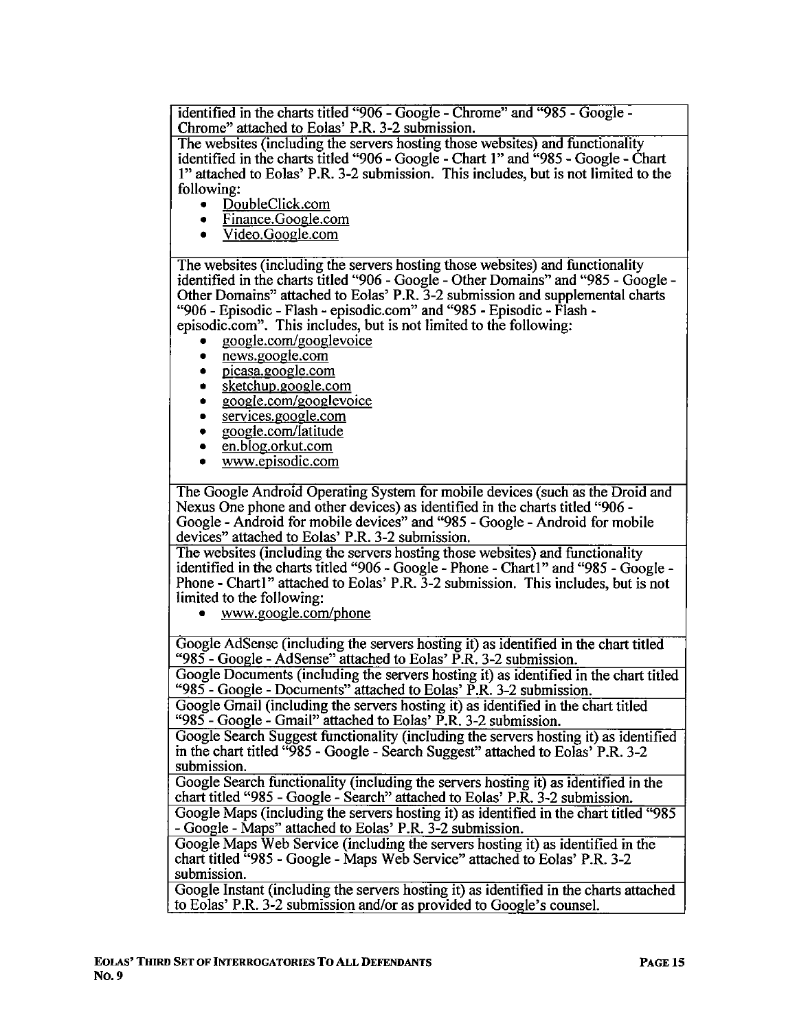identified in the charts titled "906 - Google - Chrome" and "985 - Google -Chrome" attached to Eolas' P.R. 3-2 submission.

The websites (including the servers hosting those websites) and functionality identified in the charts titled "906 - Google - Chart  $1$ " and "985 - Google - Chart I" attached to Eolas' P.R. 3-2 submission. This includes, but is not limited to the following:

- $\frac{DoubleClick.com}{Eipance Google}$
- . Finance.Google.com
- . Video.Google.com

The websites (including the servers hosting those websites) and functionality identified in the charts titled "906 - Google - Other Domains" and "985 - Google -Other Domains" attached to Eolas' P.R. 3-2 submission and supplemental charts "906 - Episodic - Flash - episodic. com" and "985 - Episodic - Flash episodic.com". This includes, but is not limited to the following:

- . google.comlgooglevoice
- . news.google.com
- picasa.google.com
- sketchup.google.com
- google.com/googlevoice
- . services.google.com
- $\frac{1}{\epsilon}$  google.com/latitude
- . en.blog.orkut.com
- www.episodic.com

The Google Android Operating System for mobile devices (such as the Droid and Nexus One phone and other devices) as identified in the charts titled "906 - Google - Android for mobile devices" and "985 - Google - Android for mobile devices" attached to Eolas' P.R. 3-2 submission.

The websites (including the servers hosting those websites) and functionality identified in the charts titled "906 - Google - Phone - Chart1" and "985 - Google -Phone - Chartl" attached to Eolas' P.R.  $3-2$  submission. This includes, but is not limited to the following:

www.google.com/phone

Google AdSense (including the servers hosting it) as identified in the chart titled "985 - Google - AdSense" attached to Eolas' P.R. 3-2 submission.

Google Documents (including the servers hosting it) as identified in the chart titled "985 - Google - Documents" attached to Eolas' P.R. 3-2 submission.

Google Gmail (including the servers hosting it) as identified in the chart titled "985 - Google - Gmail" attached to Eolas' P.R. 3-2 submission.

Google Search Suggest functionality (including the servers hosting it) as identified in the chart titled "985 - Google - Search Suggest" attached to Eolas' P.R. 3-2 submission.

Google Search functionality (including the servers hosting it) as identified in the chart titled "985 - Google - Search" attached to Eolas' P.R. 3-2 submission.

Google Maps (including the servers hosting it) as identified in the chart titled "985 - Google - Maps" attached to Eolas' P.R. 3-2 submission.

Google Maps Web Service (including the servers hosting it) as identified in the chart titled "985 - Google - Maps Web Service" attached to Eolas' P.R. 3-2 submission.

Google Instant (including the servers hosting it) as identified in the charts attached to Eolas' P.R. 3-2 submission and/or as provided to Google's counseL.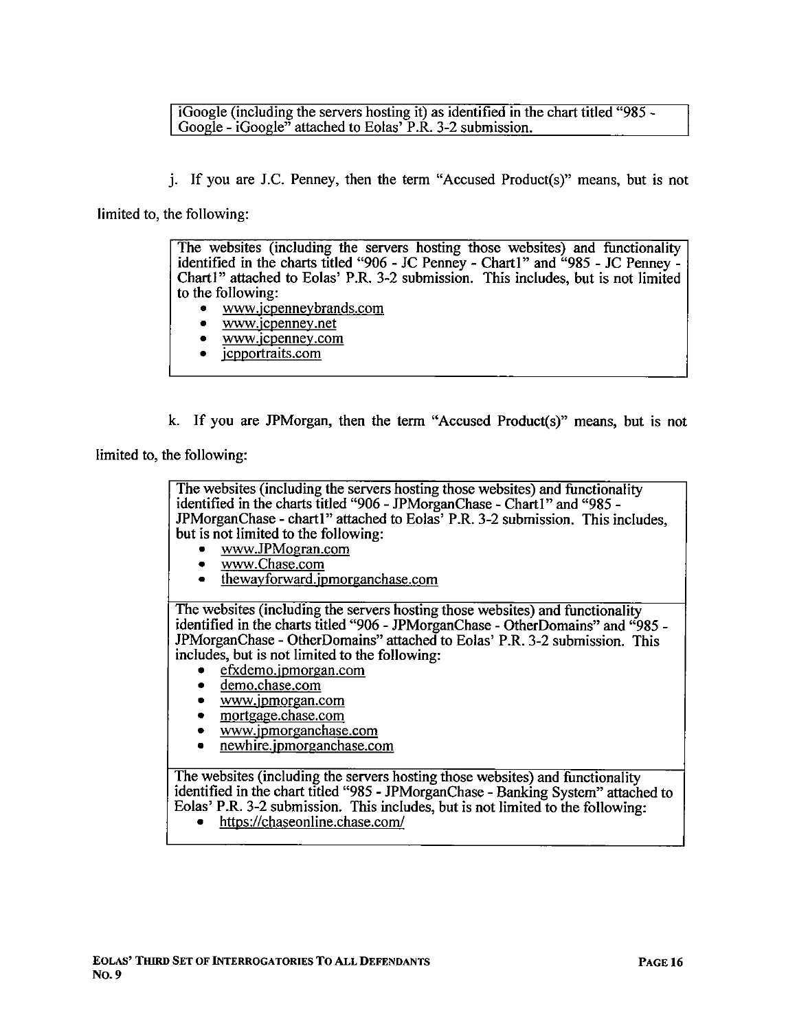iGoogle (including the servers hosting it) as identified in the chart titled "985 - Google - iGoogle<sup> $\overline{v}$ </sup> attached to Eolas' P.R. 3-2 submission.

i. If you are J.C. Penney, then the term "Accused Product(s)" means, but is not

limited to, the following:

The websites (including the servers hosting those websites) and functionality identified in the charts titled "906 - JC Penney - Chart1" and "985 - JC Penney -Chart I" attached to Eolas' P.R. 3-2 submission. This includes, but is not limited to the following:

- . www.icDennevbrands.com
- . ww.icpennev.net
- . ww.icpennev.com
- . icpportraits.com

k. If you are JPMorgan, then the term "Accused Product(s)" means, but is not

limited to, the following:

The websites (including the servers hosting those websites) and functionality identified in the charts titled "906 - JPMorganChase - Chart1" and "985 -JPMorganChase - chart1" attached to Eolas' P.R. 3-2 submission. This includes, but is not limited to the following:<br>www.JPMogran.com

- . ww.JPMogran.com
- www.Chase.com
- . thewavforward. jpmorganchase.com

The websites (including the servers hosting those websites) and functionality identified in the charts titled "906 - JPMorganChase - OtherDomains" and "985 - JPMorganChase - OtherDomains" attached to Eolas' P.R. 3-2 submission. This includes, but is not limited to the following:

- . efxdemo.ipmorgan.com
- . demo.chase.com
- . ww.ipmOrgan.com
- . mortgage. chase. com
- . ww. jpmorganchase.com
- . newhire. jpmorganchase.com

The websites (including the servers hosting those websites) and functionality identified in the chart titled "985 - JPMorganChase - Banking System" attached to Eolas' P.R. 3-2 submission. This includes, but is not limited to the following:

. https://chaseonline.chase.com/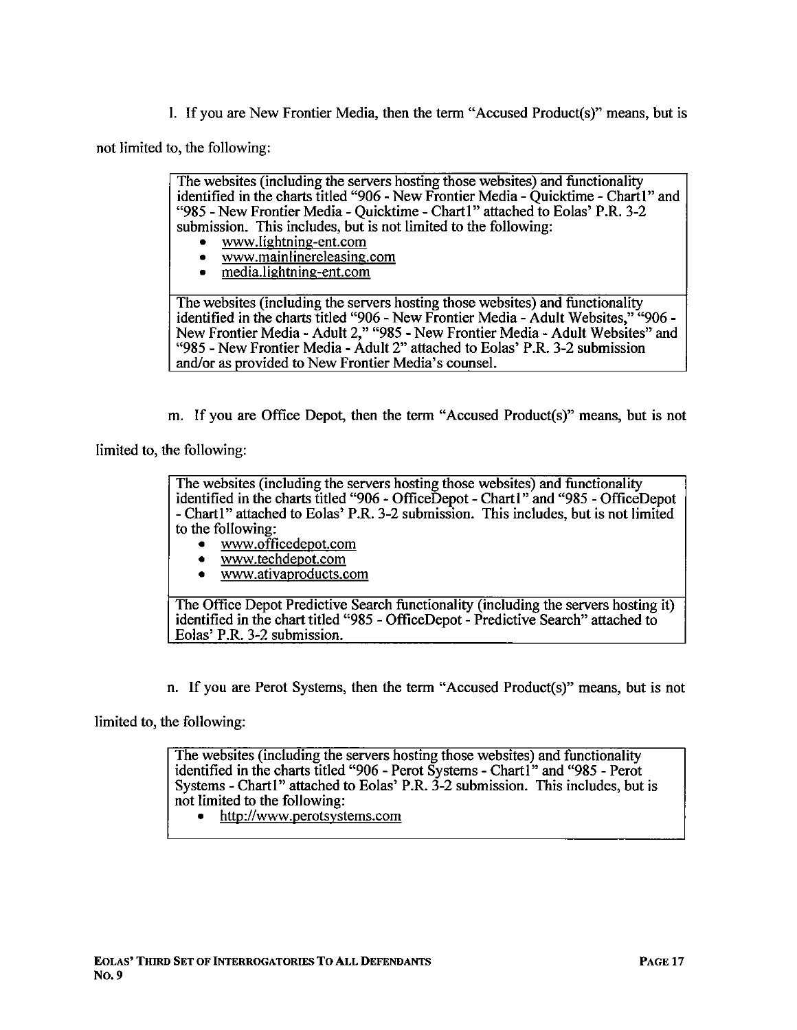i. If you are New Frontier Media, then the term "Accused Product(s)" means, but is

not limited to, the following:

The websites (including the servers hosting those websites) and functionality identified in the charts titled "906 - New Frontier Media - Ouicktime - Chart1" and "985 - New Frontier Media - Quicktime - Chart1" attached to Eolas' P.R. 3-2 submission. This includes, but is not limited to the following:

- . ww.lightning-ent.com
- . ww.mainlinereleasing.com
- . media.lightning-ent.com

The websites (including the servers hosting those websites) and functionality identified in the charts titled "906 - New Frontier Media - Adult Websites," "906 -New Frontier Media - Adult 2," "985 - New Frontier Media - Adult Websites" and "985 - New Frontier Media - Adult 2" attached to Eolas' P.R. 3-2 submission and/or as provided to New Frontier Media's counsel.

m. If you are Office Depot, then the term "Accused Product(s)" means, but is not

limited to, the following:

The websites (including the servers hosting those websites) and functionality identified in the charts titled "906 - OfficeDepot - Chart1" and "985 - OfficeDepot - Chart1" attached to Eolas' P.R. 3-2 submission. This includes, but is not limited to the following:

- www.officedepot.com
- www.techdepot.com
- . ww.ativaproducts.com

The Office Depot Predictive Search functionality (including the servers hosting it) identified in the chart titled "985 - OfficeDepot - Predictive Search" attached to Eolas' P.R. 3-2 submission.

n. If you are Perot Systems, then the term "Accused Product(s)" means, but is not

limited to, the following:

The websites (including the servers hosting those websites) and functionality identified in the charts titled "906 - Perot Systems - Chart1" and "985 - Perot Systems - Chart I" attached to Eolas' P.R.  $3-2$  submission. This includes, but is not limited to the following:

http://www.perotsystems.com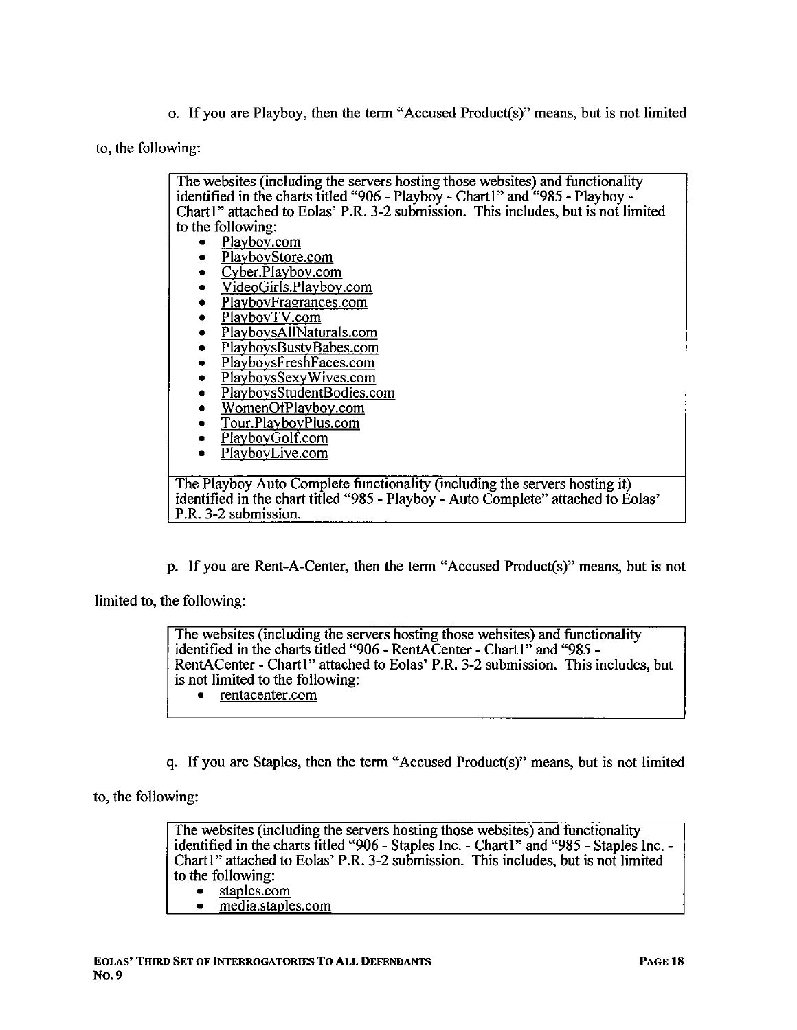o. If you are Playboy, then the term "Accused Product(s)" means, but is not limited

to, the following:

The websites (including the servers hosting those websites) and functionality identified in the charts titled "906 - Playboy - Chart1" and "985 - Playboy -Chartl" attached to Eolas' P.R. 3-2 submission. This includes, but is not limited to the following:

- Playboy.com
- PlayboyStore.com
- . Cvber.Plavbov.com
- . VideoGirls.Plavbov.com
- PlayboyFragrances.com
- PlayboyTV.com
- . PlavbovsAIINaturals.com
- PlayboysBustyBabes.com
- . PlavbovsFreshFaces.com
- PlayboysSexyWives.com
- . PlavbovsStudentBodies.com
- . WomenOfPlavbov.com
- . Tour.PlavbovPlus.com
- PlaybovGolf.com
- PlaybovLive.com

The Playboy Auto Complete functionality (including the servers hosting it) identified in the chart titled "985 - Playboy - Auto Complete" attached to Eolas' P.R. 3-2 submission.

p. If you are Rent-A-Center, then the term "Accused Product(s)" means, but is not

limited to, the following:

The websites (including the servers hosting those websites) and functionality identified in the charts titled "906 - RentACenter - Chart1" and "985 -RentACenter - Chart1" attached to Eolas' P.R. 3-2 submission. This includes, but is not limited to the following: . rentacenter.com

q. If you are Staples, then the term "Accused Product(s)" means, but is not limited

to, the following:

The websites (including the servers hosting those websites) and functionality identified in the charts titled "906 - Staples Inc. - Chartl" and "985 - Staples Inc. - Chart !" attached to Eolas' P.R. 3-2 submission. This includes, but is not limited to the following:

. staples.com

media.staples.com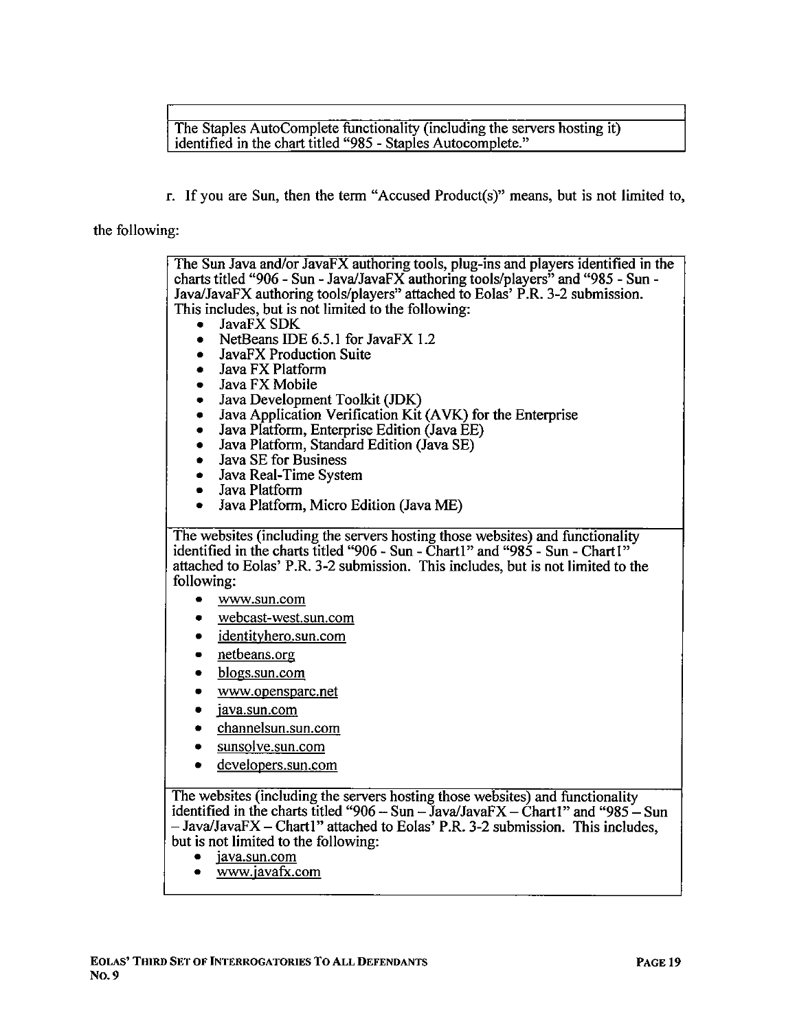The Staples AutoComplete functionality (including the servers hosting it) identified in the chart titled "985 - Staples Autocomplete."

r. If you are Sun, then the term "Accused Product(s)" means, but is not limited to,

#### the following:

The Sun Java and/or JavaFX authoring tools, plug-ins and players identified in the charts titled "906 - Sun - Java/JavaFX authoring tools/players" and "985 - Sun -Java/JavaFX authoring tools/players" attached to Eolas' P.R. 3-2 submission. This includes, but is not limited to the following: JavaFX SDK NetBeans IDE 6.5.1 for JavaFX 1.2 . JavaFX Production Suite . Java FX Platform Java FX Mobile Java Development Toolkit (JDK) . Java Application Verification Kit (A VK) for the Enterprise . Java Platform, Enterprise Edition (Java EE) . Java Platform, Standard Edition (Java SE) • Java SE for Business<br>• Java Real-Time Syste • Java Real-Time System<br>• Java Platform • Java Platform<br>• Java Platform . Java Platform, Micro Edition (Java ME) The websites (including the servers hosting those websites) and functionality identified in the charts titled "906 - Sun - Charl" and "985 - Sun - Chartl" attached to Eolas' P.R. 3-2 submission. This includes, but is not limited to the following: . ww.sun.com . webcast-west.sun.com . identitvhero.sun.com . netbeans.org . blogs.sun.com . ww.opensparc.net java.sun.com . channelsun.sun.com sunsolve.sun.com . developers.sun.com The websites (including the servers hosting those websites) and functionality identified in the charts titled "906 - Sun - Java/Java $FX - \dot{C}$ hart 1" and "985 - Sun  $-$  Java/JavaFX  $-$  Chart 1" attached to Eolas' P.R. 3-2 submission. This includes, but is not limited to the following: . java.sun.com . ww.iavafX.com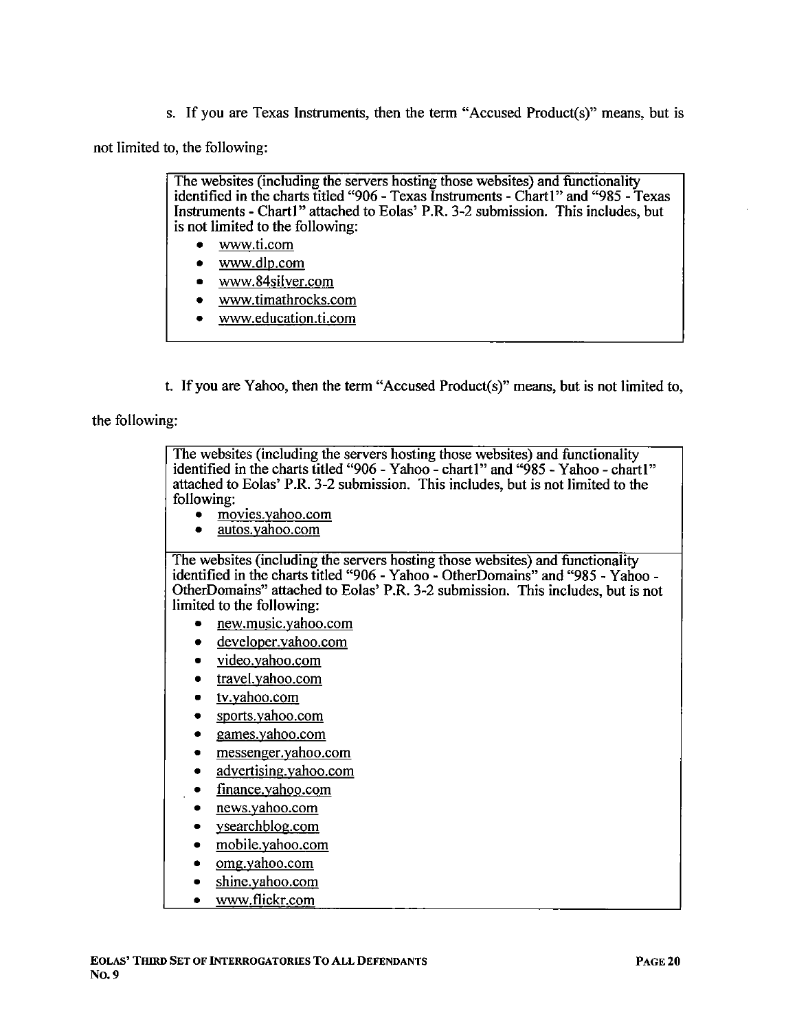s. If you are Texas Instrments, then the term "Accused Product(s)" means, but is

not limited to, the following:

The websites (including the servers hosting those websites) and functionality identified in the charts titled "906 - Texas Instruments - Chart  $\mathbf{l}$ " and "985 - Texas Instruments - Chart I" attached to Eolas' P.R. 3-2 submission. This includes, but is not limited to the following:

- . ww.ti.com
- . ww.dID.com
- . www.84silver.com
- . ww.timathrocks.com
- . ww.education.ti.com
- t. If you are Yahoo, then the term "Accused Product(s)" means, but is not limited to,

the following:

The websites (including the servers hosting those websites) and functionality identified in the charts titled "906 - Yahoo - chartl" and "985 - Yahoo - chartl" attached to Eolas' P.R. 3-2 submission. This includes, but is not limited to the following: . movies.vahoo.com . autos. vahoo.com The websites (including the servers hosting those websites) and functionality identified in the charts titled "906 - Yahoo - OtherDomains" and "985 - Yahoo -OtherDomains" attached to Eolas' P.R. 3-2 submission. This includes, but is not limited to the following: . new.music.vahoo.com • developer.vahoo.com video.vahoo.com . travel.vahoo.com . tv.vahoo.com sports. yahoo.com . games.vahoo.com . messenger.vahoo.com . advertising.vahoo.com . finance. vahoo.com . news.vahoo.com . vsearchblog.com . mobile.vahoo.com . omg.vahoo.com

- 
- . shine.vahoo.com
- www.flickr.com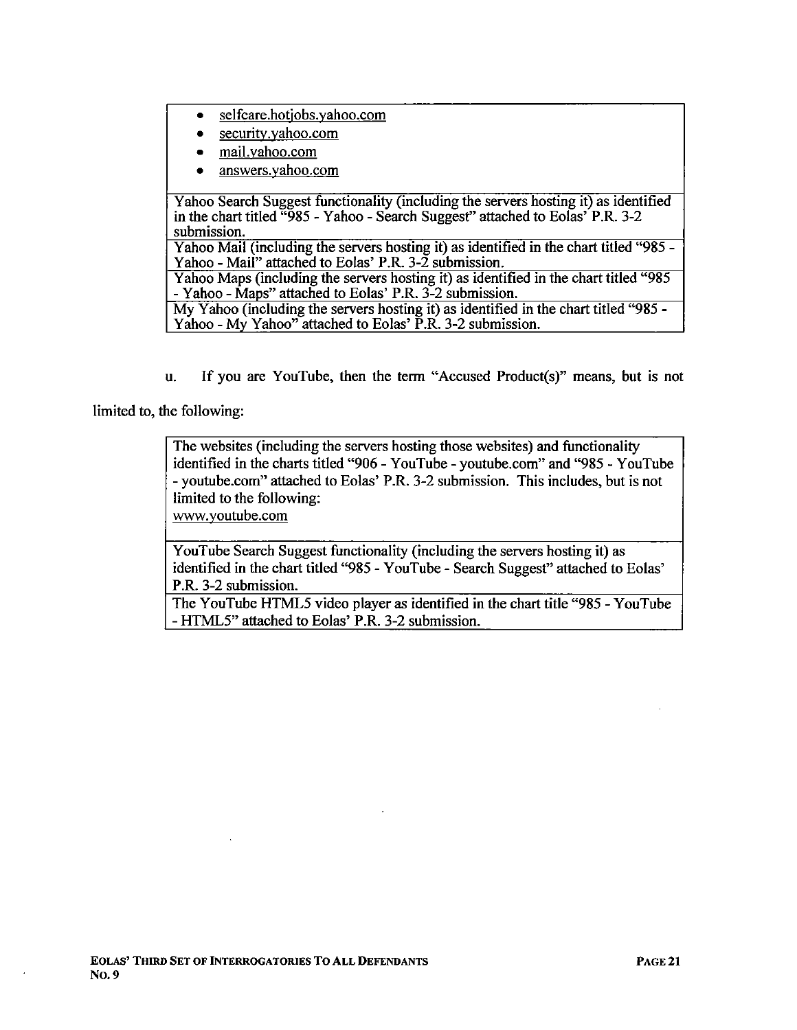- . sel fcare.hotiobs. vahoo.com
- . securitv.vahoo.com
- . maiI.vahoo.com
- . answers.vahoo.com

Yahoo Search Suggest functionality (including the servers hosting it) as identified in the chart titled  $\frac{1666}{1285}$  - Yahoo - Search Suggest" attached to Eolas' P.R. 3-2 submission.

Yahoo Mail (including the servers hosting it) as identified in the chart titled "985 -Yahoo - Mail" attached to Eolas' P.R. 3-2 submission.

Yahoo Maps (including the servers hosting it) as identified in the chart titled "985 - Yahoo - Maps" attached to Eolas' P.R. 3-2 submission.

My Yahoo (including the servers hosting it) as identified in the chart titled "985 - Yahoo - My Yahoo" attached to Eolas' P.R. 3-2 submission.

u. If you are YouTube, then the term "Accused Product(s)" means, but is not

limited to, the following:

The websites (including the servers hosting those websites) and functionality identified in the charts titled "906 - Y ouTube - youtube.com" and "985 - Y ouTube - youtube.com" attached to Eolas' P.R. 3-2 submission. This includes, but is not limited to the following:

ww.voutube.com

YouTube Search Suggest functionality (including the servers hosting it) as identified in the chart titled "985 - YouTube - Search Suggest" attached to Eolas' P.R. 3-2 submission.

The YouTube HTML5 video player as identified in the chart title "985 - YouTube" - HTML5" attached to Eolas' P.R. 3-2 submission.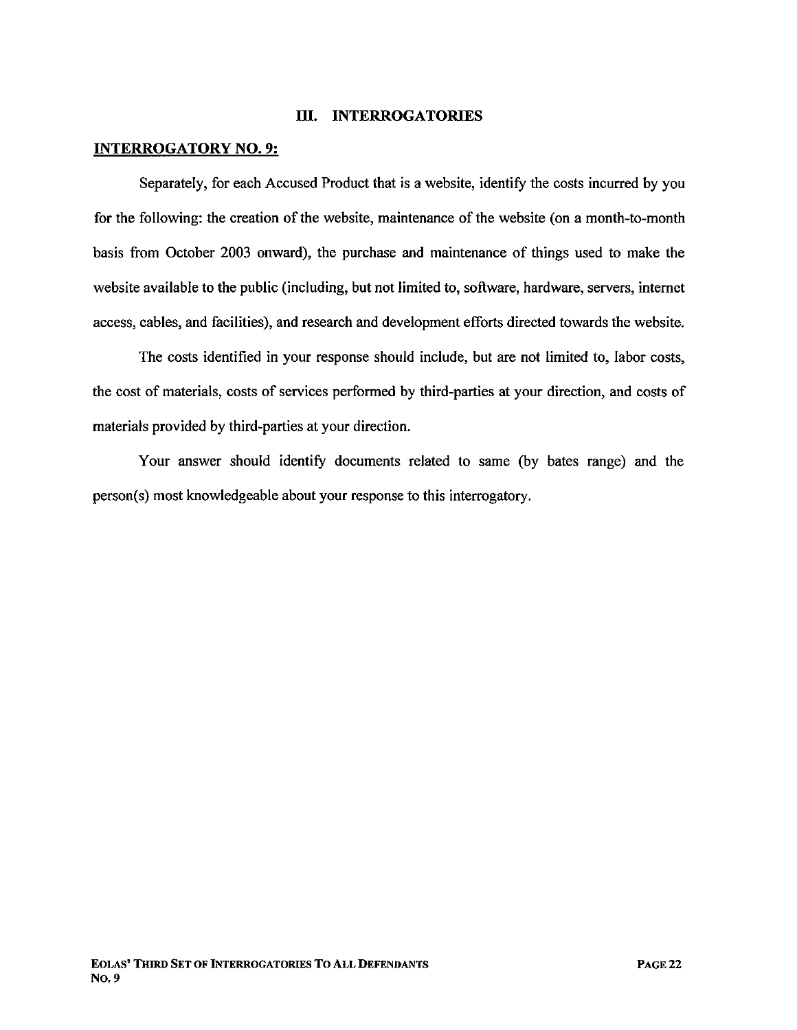#### II. INTERROGATORIES

#### INTERROGATORY NO.9:

Separately, for each Accused Product that is a website, identify the costs incurred by you for the following: the creation of the website, maintenance of the website (on a month-to-month basis from October 2003 onward), the purchase and maintenance of things used to make the website available to the public (including, but not limited to, software, hardware, servers, internet access, cables, and facilities), and research and development efforts directed towards the website.

The costs identified in your response should include, but are not limited to, labor costs, the cost of materials, costs of services performed by third-parties at your direction, and costs of materials provided by third-parties at your direction.

Your answer should identify documents related to same (by bates range) and the person(s) most knowledgeable about your response to this interrogatory.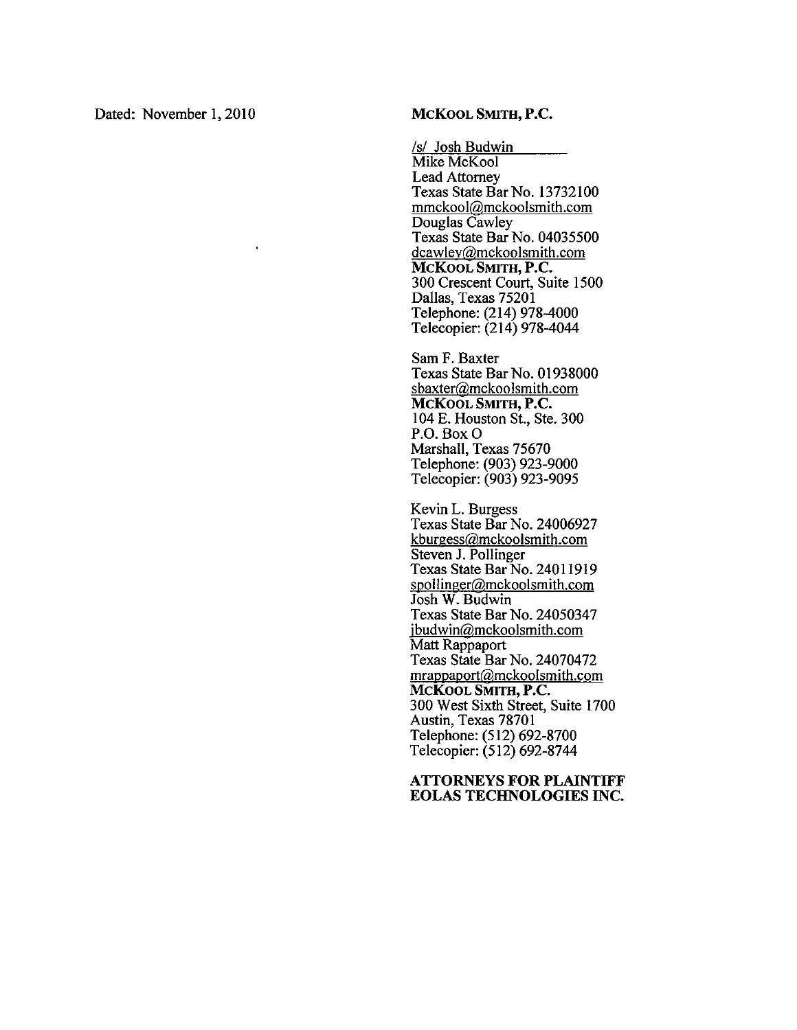Dated: November 1, 2010 MCKOOL SMITH, P.C.

/s/ Josh Budwin Mike McKool Lead Attorney Texas State Bar No. 13732100 mmckoolíamckoolsmith.com Douglas Cawley Texas State Bar No. 04035500 dcawley@mckoolsmith.com MCKOOL SMITH, P.C. 300 Crescent Court, Suite 1500 Dallas, Texas 75201 Telephone: (214) 978-4000 Telecopier: (214) 978-4044

Sam F. Baxter Texas State Bar No. 01938000 sbaxter@mckoolsmith.com MCKOOL SMITH, P.C. 104 E. Houston St., Ste. 300 P.O. Box 0 Marshall, Texas 75670 Telephone: (903) 923-9000 Telecopier: (903) 923-9095

Kevin L. Burgess Texas State Bar No. 24006927 kburgessíamckoolsmith.com Steven J. Pollinger Texas State Bar No. 24011919 spollinger@mckoolsmith.com Josh W. Budwin Texas State Bar No. 24050347 jbudwin@mckoolsmith.com Matt Rappaport Texas State Bar No. 24070472 mrappaport@mckoolsmith.com MCKOOL SMITH, P.C. 300 West Sixth Street, Suite 1700 Austin, Texas 78701 Telephone: (512) 692-8700 Telecopier: (512) 692-8744

#### ATTORNYS FOR PLAINTIFF EOLAS TECHNOLOGIES INC.